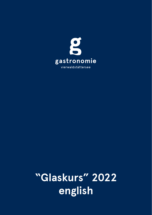

"Glaskurs" 2022 english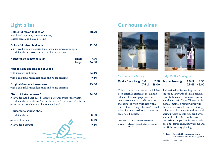## **Light bites**

| <b>Colourful mixed leaf salad</b><br>with bread croutons, cherry tomatoes,<br>roasted seeds and house dressing                                                                                                    |                | 10.90         |
|-------------------------------------------------------------------------------------------------------------------------------------------------------------------------------------------------------------------|----------------|---------------|
| <b>Colourful mixed leaf salad</b><br>With bread croutons, cherry tomatoes, cucumber, Swiss eggs,<br>Uri alpine cheese, roasted seeds and house dressing                                                           |                | 22.50         |
| Housemade seasonal soup                                                                                                                                                                                           | small<br>large | 9.90<br>16.50 |
| <b>Rotegg Schüblig smoked sausage</b>                                                                                                                                                                             |                |               |
| with mustard and bread                                                                                                                                                                                            |                | 12.50         |
| with a colourful mixed leaf salad and house dressing                                                                                                                                                              |                | 19.50         |
| <b>Original Gersau cheesecake</b><br>with a colourful mixed leaf salad and house dressing                                                                                                                         |                | 23.50         |
| "Best of Lake Lucerne"<br>Nidwalden Landjäger cured sausage, pastrami, Swiss turkey ham,<br>Uri alpine cheese, cubes of Sbrinz cheese and "Hohle Gasse" soft cheese<br>served with cornichons and housemade bread |                | 24.50         |
| <b>Housemade sandwiches</b>                                                                                                                                                                                       |                |               |
| Uri alpine cheese                                                                                                                                                                                                 |                | 8.50          |



### **Our house wines**



#### **Switzerland /Schwyz**

#### **Cuvée Blanche @ 1.0 dl 7.50 7.5 dl 49.00**

This is a wine for all senses, which has been carefully crafted at the Kümin cellars. The sweet grape juice has gently fermented to a delicate wine that is full of fresh fruitiness with a touch of sweet zing. This cuvée is well suited for any apertif or as a companion for cold buffets.

|        | Producer Gebrüder Kümin, Freienbach           |
|--------|-----------------------------------------------|
| Grapes | Blanc de noir, Riesling x Sylvaner,<br>Muscat |



#### **Italy/Emilia Romagna**

| Tavola Rosso | $1.0$ dl | 7.50         |
|--------------|----------|--------------|
|              |          | 7.5 dl 49.00 |

This refined Italian red is grown at the sunny vineyards of Villa Bagnolo, beautifully situated between Tuscany and the Adriatic Coast. The masterful blend combines a robust Cuvée with different Riserva selections, achieving balance and harmony from the careful ageing process in both wooden barrels and steel tanks. Our Tavola Rosso is the perfect companion for any occasion. The intense color, fruity aroma and soft finish are very pleasing.

| Producer Assembled by the master vintner |
|------------------------------------------|
| Vito Ballarati and the Tavolago team     |
| Grapes Sangiovese                        |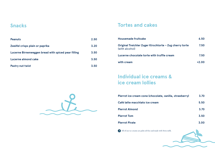### **Snacks**

| <b>Peanuts</b>                                      | 2.50 |
|-----------------------------------------------------|------|
| Zweifel crisps plain or paprika                     | 3.20 |
| Lucerne Birnenweggen bread with spiced pear filling | 3.50 |
| Lucerne almond cake                                 | 3.50 |
| Pastry nut twist                                    | 3.50 |

### **Tortes and cakes**

| Housemade fruitcake                                                       | 6.50    |
|---------------------------------------------------------------------------|---------|
| Original Treichler Zuger Kirschtorte - Zug cherry torte<br>(with alcohol) | 7.50    |
| Lucerne chocolate torte with truffle cream                                | 7.50    |
| with cream                                                                | $+2.00$ |

# **Individual ice creams & ice cream lollies**

| Pierrot ice cream cone (chocolate, vanilla, strawberry) | 3.70 |
|---------------------------------------------------------|------|
| Café latte macchiato ice cream                          | 5.50 |
| <b>Pierrot Almond</b>                                   | 3.70 |
| <b>Pierrot Tom</b>                                      | 3.50 |
| <b>Pierrot Pirate</b>                                   | 3.00 |

All of our ice creams are palm oil-free and made with Swiss milk.